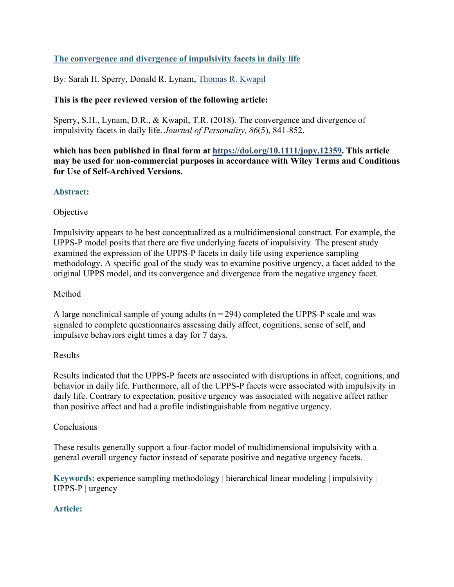# **The convergence and divergence of impulsivity facets in daily life**

By: Sarah H. Sperry, Donald R. Lynam, [Thomas R. Kwapil](http://libres.uncg.edu/ir/uncg/clist.aspx?id=661)

## **This is the peer reviewed version of the following article:**

Sperry, S.H., Lynam, D.R., & Kwapil, T.R. (2018). The convergence and divergence of impulsivity facets in daily life. *Journal of Personality, 86*(5), 841-852.

**which has been published in final form at [https://doi.org/10.1111/jopy.12359.](https://doi.org/10.1111/jopy.12359) This article may be used for non-commercial purposes in accordance with Wiley Terms and Conditions for Use of Self-Archived Versions.**

## **Abstract:**

## Objective

Impulsivity appears to be best conceptualized as a multidimensional construct. For example, the UPPS‐P model posits that there are five underlying facets of impulsivity. The present study examined the expression of the UPPS‐P facets in daily life using experience sampling methodology. A specific goal of the study was to examine positive urgency, a facet added to the original UPPS model, and its convergence and divergence from the negative urgency facet.

## Method

A large nonclinical sample of young adults ( $n = 294$ ) completed the UPPS-P scale and was signaled to complete questionnaires assessing daily affect, cognitions, sense of self, and impulsive behaviors eight times a day for 7 days.

## Results

Results indicated that the UPPS‐P facets are associated with disruptions in affect, cognitions, and behavior in daily life. Furthermore, all of the UPPS‐P facets were associated with impulsivity in daily life. Contrary to expectation, positive urgency was associated with negative affect rather than positive affect and had a profile indistinguishable from negative urgency.

## Conclusions

These results generally support a four-factor model of multidimensional impulsivity with a general overall urgency factor instead of separate positive and negative urgency facets.

**Keywords:** experience sampling methodology | hierarchical linear modeling | impulsivity | UPPS-P | urgency

## **Article:**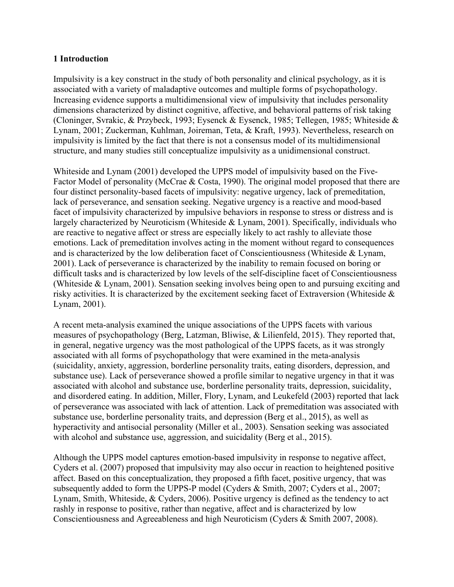#### **1 Introduction**

Impulsivity is a key construct in the study of both personality and clinical psychology, as it is associated with a variety of maladaptive outcomes and multiple forms of psychopathology. Increasing evidence supports a multidimensional view of impulsivity that includes personality dimensions characterized by distinct cognitive, affective, and behavioral patterns of risk taking (Cloninger, Svrakic, & Przybeck, 1993; Eysenck & Eysenck, 1985; Tellegen, 1985; Whiteside & Lynam, 2001; Zuckerman, Kuhlman, Joireman, Teta, & Kraft, 1993). Nevertheless, research on impulsivity is limited by the fact that there is not a consensus model of its multidimensional structure, and many studies still conceptualize impulsivity as a unidimensional construct.

Whiteside and Lynam (2001) developed the UPPS model of impulsivity based on the Five-Factor Model of personality (McCrae & Costa, 1990). The original model proposed that there are four distinct personality‐based facets of impulsivity: negative urgency, lack of premeditation, lack of perseverance, and sensation seeking. Negative urgency is a reactive and mood-based facet of impulsivity characterized by impulsive behaviors in response to stress or distress and is largely characterized by Neuroticism (Whiteside & Lynam, 2001). Specifically, individuals who are reactive to negative affect or stress are especially likely to act rashly to alleviate those emotions. Lack of premeditation involves acting in the moment without regard to consequences and is characterized by the low deliberation facet of Conscientiousness (Whiteside & Lynam, 2001). Lack of perseverance is characterized by the inability to remain focused on boring or difficult tasks and is characterized by low levels of the self‐discipline facet of Conscientiousness (Whiteside & Lynam, 2001). Sensation seeking involves being open to and pursuing exciting and risky activities. It is characterized by the excitement seeking facet of Extraversion (Whiteside & Lynam, 2001).

A recent meta‐analysis examined the unique associations of the UPPS facets with various measures of psychopathology (Berg, Latzman, Bliwise, & Lilienfeld, 2015). They reported that, in general, negative urgency was the most pathological of the UPPS facets, as it was strongly associated with all forms of psychopathology that were examined in the meta‐analysis (suicidality, anxiety, aggression, borderline personality traits, eating disorders, depression, and substance use). Lack of perseverance showed a profile similar to negative urgency in that it was associated with alcohol and substance use, borderline personality traits, depression, suicidality, and disordered eating. In addition, Miller, Flory, Lynam, and Leukefeld (2003) reported that lack of perseverance was associated with lack of attention. Lack of premeditation was associated with substance use, borderline personality traits, and depression (Berg et al., 2015), as well as hyperactivity and antisocial personality (Miller et al., 2003). Sensation seeking was associated with alcohol and substance use, aggression, and suicidality (Berg et al., 2015).

Although the UPPS model captures emotion‐based impulsivity in response to negative affect, Cyders et al. (2007) proposed that impulsivity may also occur in reaction to heightened positive affect. Based on this conceptualization, they proposed a fifth facet, positive urgency, that was subsequently added to form the UPPS‐P model (Cyders & Smith, 2007; Cyders et al., 2007; Lynam, Smith, Whiteside, & Cyders, 2006). Positive urgency is defined as the tendency to act rashly in response to positive, rather than negative, affect and is characterized by low Conscientiousness and Agreeableness and high Neuroticism (Cyders & Smith 2007, 2008).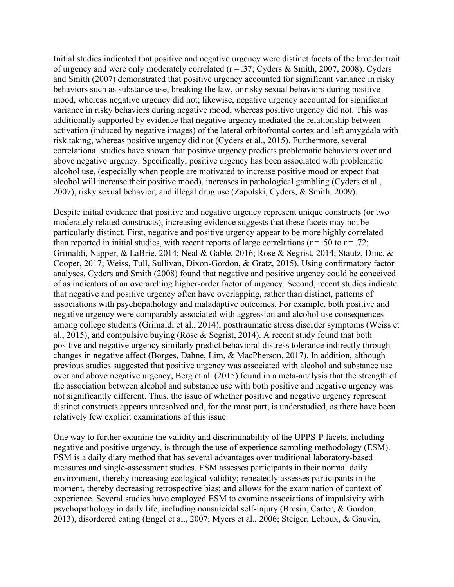Initial studies indicated that positive and negative urgency were distinct facets of the broader trait of urgency and were only moderately correlated (r = .37; Cyders & Smith, 2007, 2008). Cyders and Smith (2007) demonstrated that positive urgency accounted for significant variance in risky behaviors such as substance use, breaking the law, or risky sexual behaviors during positive mood, whereas negative urgency did not; likewise, negative urgency accounted for significant variance in risky behaviors during negative mood, whereas positive urgency did not. This was additionally supported by evidence that negative urgency mediated the relationship between activation (induced by negative images) of the lateral orbitofrontal cortex and left amygdala with risk taking, whereas positive urgency did not (Cyders et al., 2015). Furthermore, several correlational studies have shown that positive urgency predicts problematic behaviors over and above negative urgency. Specifically, positive urgency has been associated with problematic alcohol use, (especially when people are motivated to increase positive mood or expect that alcohol will increase their positive mood), increases in pathological gambling (Cyders et al., 2007), risky sexual behavior, and illegal drug use (Zapolski, Cyders, & Smith, 2009).

Despite initial evidence that positive and negative urgency represent unique constructs (or two moderately related constructs), increasing evidence suggests that these facets may not be particularly distinct. First, negative and positive urgency appear to be more highly correlated than reported in initial studies, with recent reports of large correlations ( $r = .50$  to  $r = .72$ ; Grimaldi, Napper, & LaBrie, 2014; Neal & Gable, 2016; Rose & Segrist, 2014; Stautz, Dinc, & Cooper, 2017; Weiss, Tull, Sullivan, Dixon‐Gordon, & Gratz, 2015). Using confirmatory factor analyses, Cyders and Smith (2008) found that negative and positive urgency could be conceived of as indicators of an overarching higher‐order factor of urgency. Second, recent studies indicate that negative and positive urgency often have overlapping, rather than distinct, patterns of associations with psychopathology and maladaptive outcomes. For example, both positive and negative urgency were comparably associated with aggression and alcohol use consequences among college students (Grimaldi et al., 2014), posttraumatic stress disorder symptoms (Weiss et al., 2015), and compulsive buying (Rose & Segrist, 2014). A recent study found that both positive and negative urgency similarly predict behavioral distress tolerance indirectly through changes in negative affect (Borges, Dahne, Lim, & MacPherson, 2017). In addition, although previous studies suggested that positive urgency was associated with alcohol and substance use over and above negative urgency, Berg et al. (2015) found in a meta-analysis that the strength of the association between alcohol and substance use with both positive and negative urgency was not significantly different. Thus, the issue of whether positive and negative urgency represent distinct constructs appears unresolved and, for the most part, is understudied, as there have been relatively few explicit examinations of this issue.

One way to further examine the validity and discriminability of the UPPS‐P facets, including negative and positive urgency, is through the use of experience sampling methodology (ESM). ESM is a daily diary method that has several advantages over traditional laboratory‐based measures and single‐assessment studies. ESM assesses participants in their normal daily environment, thereby increasing ecological validity; repeatedly assesses participants in the moment, thereby decreasing retrospective bias; and allows for the examination of context of experience. Several studies have employed ESM to examine associations of impulsivity with psychopathology in daily life, including nonsuicidal self‐injury (Bresin, Carter, & Gordon, 2013), disordered eating (Engel et al., 2007; Myers et al., 2006; Steiger, Lehoux, & Gauvin,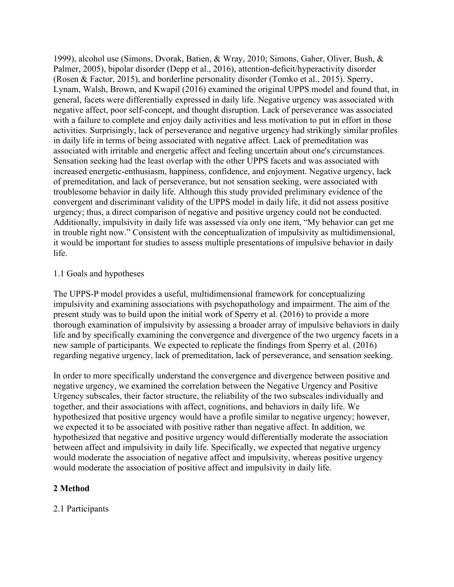1999), alcohol use (Simons, Dvorak, Batien, & Wray, 2010; Simons, Gaher, Oliver, Bush, & Palmer, 2005), bipolar disorder (Depp et al., 2016), attention‐deficit/hyperactivity disorder (Rosen & Factor, 2015), and borderline personality disorder (Tomko et al., 2015). Sperry, Lynam, Walsh, Brown, and Kwapil (2016) examined the original UPPS model and found that, in general, facets were differentially expressed in daily life. Negative urgency was associated with negative affect, poor self‐concept, and thought disruption. Lack of perseverance was associated with a failure to complete and enjoy daily activities and less motivation to put in effort in those activities. Surprisingly, lack of perseverance and negative urgency had strikingly similar profiles in daily life in terms of being associated with negative affect. Lack of premeditation was associated with irritable and energetic affect and feeling uncertain about one's circumstances. Sensation seeking had the least overlap with the other UPPS facets and was associated with increased energetic-enthusiasm, happiness, confidence, and enjoyment. Negative urgency, lack of premeditation, and lack of perseverance, but not sensation seeking, were associated with troublesome behavior in daily life. Although this study provided preliminary evidence of the convergent and discriminant validity of the UPPS model in daily life, it did not assess positive urgency; thus, a direct comparison of negative and positive urgency could not be conducted. Additionally, impulsivity in daily life was assessed via only one item, "My behavior can get me in trouble right now." Consistent with the conceptualization of impulsivity as multidimensional, it would be important for studies to assess multiple presentations of impulsive behavior in daily life.

#### 1.1 Goals and hypotheses

The UPPS‐P model provides a useful, multidimensional framework for conceptualizing impulsivity and examining associations with psychopathology and impairment. The aim of the present study was to build upon the initial work of Sperry et al. (2016) to provide a more thorough examination of impulsivity by assessing a broader array of impulsive behaviors in daily life and by specifically examining the convergence and divergence of the two urgency facets in a new sample of participants. We expected to replicate the findings from Sperry et al. (2016) regarding negative urgency, lack of premeditation, lack of perseverance, and sensation seeking.

In order to more specifically understand the convergence and divergence between positive and negative urgency, we examined the correlation between the Negative Urgency and Positive Urgency subscales, their factor structure, the reliability of the two subscales individually and together, and their associations with affect, cognitions, and behaviors in daily life. We hypothesized that positive urgency would have a profile similar to negative urgency; however, we expected it to be associated with positive rather than negative affect. In addition, we hypothesized that negative and positive urgency would differentially moderate the association between affect and impulsivity in daily life. Specifically, we expected that negative urgency would moderate the association of negative affect and impulsivity, whereas positive urgency would moderate the association of positive affect and impulsivity in daily life.

## **2 Method**

## 2.1 Participants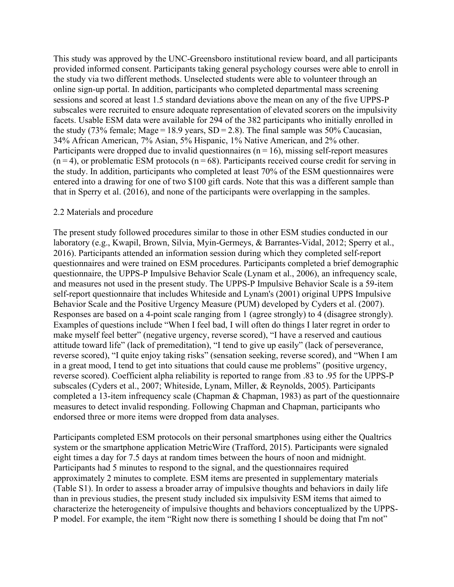This study was approved by the UNC‐Greensboro institutional review board, and all participants provided informed consent. Participants taking general psychology courses were able to enroll in the study via two different methods. Unselected students were able to volunteer through an online sign‐up portal. In addition, participants who completed departmental mass screening sessions and scored at least 1.5 standard deviations above the mean on any of the five UPPS‐P subscales were recruited to ensure adequate representation of elevated scorers on the impulsivity facets. Usable ESM data were available for 294 of the 382 participants who initially enrolled in the study (73% female; Mage = 18.9 years,  $SD = 2.8$ ). The final sample was 50% Caucasian, 34% African American, 7% Asian, 5% Hispanic, 1% Native American, and 2% other. Participants were dropped due to invalid questionnaires ( $n = 16$ ), missing self-report measures  $(n=4)$ , or problematic ESM protocols  $(n=68)$ . Participants received course credit for serving in the study. In addition, participants who completed at least 70% of the ESM questionnaires were entered into a drawing for one of two \$100 gift cards. Note that this was a different sample than that in Sperry et al. (2016), and none of the participants were overlapping in the samples.

#### 2.2 Materials and procedure

The present study followed procedures similar to those in other ESM studies conducted in our laboratory (e.g., Kwapil, Brown, Silvia, Myin‐Germeys, & Barrantes‐Vidal, 2012; Sperry et al., 2016). Participants attended an information session during which they completed self‐report questionnaires and were trained on ESM procedures. Participants completed a brief demographic questionnaire, the UPPS‐P Impulsive Behavior Scale (Lynam et al., 2006), an infrequency scale, and measures not used in the present study. The UPPS‐P Impulsive Behavior Scale is a 59‐item self-report questionnaire that includes Whiteside and Lynam's (2001) original UPPS Impulsive Behavior Scale and the Positive Urgency Measure (PUM) developed by Cyders et al. (2007). Responses are based on a 4‐point scale ranging from 1 (agree strongly) to 4 (disagree strongly). Examples of questions include "When I feel bad, I will often do things I later regret in order to make myself feel better" (negative urgency, reverse scored), "I have a reserved and cautious attitude toward life" (lack of premeditation), "I tend to give up easily" (lack of perseverance, reverse scored), "I quite enjoy taking risks" (sensation seeking, reverse scored), and "When I am in a great mood, I tend to get into situations that could cause me problems" (positive urgency, reverse scored). Coefficient alpha reliability is reported to range from .83 to .95 for the UPPS‐P subscales (Cyders et al., 2007; Whiteside, Lynam, Miller, & Reynolds, 2005). Participants completed a 13‐item infrequency scale (Chapman & Chapman, 1983) as part of the questionnaire measures to detect invalid responding. Following Chapman and Chapman, participants who endorsed three or more items were dropped from data analyses.

Participants completed ESM protocols on their personal smartphones using either the Qualtrics system or the smartphone application MetricWire (Trafford, 2015). Participants were signaled eight times a day for 7.5 days at random times between the hours of noon and midnight. Participants had 5 minutes to respond to the signal, and the questionnaires required approximately 2 minutes to complete. ESM items are presented in supplementary materials (Table S1). In order to assess a broader array of impulsive thoughts and behaviors in daily life than in previous studies, the present study included six impulsivity ESM items that aimed to characterize the heterogeneity of impulsive thoughts and behaviors conceptualized by the UPPS‐ P model. For example, the item "Right now there is something I should be doing that I'm not"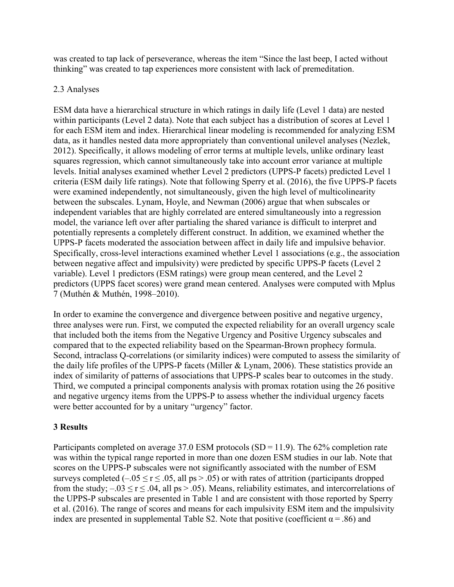was created to tap lack of perseverance, whereas the item "Since the last beep, I acted without thinking" was created to tap experiences more consistent with lack of premeditation.

## 2.3 Analyses

ESM data have a hierarchical structure in which ratings in daily life (Level 1 data) are nested within participants (Level 2 data). Note that each subject has a distribution of scores at Level 1 for each ESM item and index. Hierarchical linear modeling is recommended for analyzing ESM data, as it handles nested data more appropriately than conventional unilevel analyses (Nezlek, 2012). Specifically, it allows modeling of error terms at multiple levels, unlike ordinary least squares regression, which cannot simultaneously take into account error variance at multiple levels. Initial analyses examined whether Level 2 predictors (UPPS‐P facets) predicted Level 1 criteria (ESM daily life ratings). Note that following Sperry et al. (2016), the five UPPS‐P facets were examined independently, not simultaneously, given the high level of multicolinearity between the subscales. Lynam, Hoyle, and Newman (2006) argue that when subscales or independent variables that are highly correlated are entered simultaneously into a regression model, the variance left over after partialing the shared variance is difficult to interpret and potentially represents a completely different construct. In addition, we examined whether the UPPS‐P facets moderated the association between affect in daily life and impulsive behavior. Specifically, cross-level interactions examined whether Level 1 associations (e.g., the association between negative affect and impulsivity) were predicted by specific UPPS-P facets (Level 2 variable). Level 1 predictors (ESM ratings) were group mean centered, and the Level 2 predictors (UPPS facet scores) were grand mean centered. Analyses were computed with Mplus 7 (Muthén & Muthén, 1998–2010).

In order to examine the convergence and divergence between positive and negative urgency, three analyses were run. First, we computed the expected reliability for an overall urgency scale that included both the items from the Negative Urgency and Positive Urgency subscales and compared that to the expected reliability based on the Spearman‐Brown prophecy formula. Second, intraclass Q-correlations (or similarity indices) were computed to assess the similarity of the daily life profiles of the UPPS‐P facets (Miller & Lynam, 2006). These statistics provide an index of similarity of patterns of associations that UPPS‐P scales bear to outcomes in the study. Third, we computed a principal components analysis with promax rotation using the 26 positive and negative urgency items from the UPPS‐P to assess whether the individual urgency facets were better accounted for by a unitary "urgency" factor.

## **3 Results**

Participants completed on average 37.0 ESM protocols  $(SD = 11.9)$ . The 62% completion rate was within the typical range reported in more than one dozen ESM studies in our lab. Note that scores on the UPPS-P subscales were not significantly associated with the number of ESM surveys completed  $(-.05 \le r \le .05,$  all ps  $\ge .05$ ) or with rates of attrition (participants dropped from the study;  $-.03 \le r \le .04$ , all ps  $> .05$ ). Means, reliability estimates, and intercorrelations of the UPPS‐P subscales are presented in Table 1 and are consistent with those reported by Sperry et al. (2016). The range of scores and means for each impulsivity ESM item and the impulsivity index are presented in supplemental Table S2. Note that positive (coefficient  $\alpha = .86$ ) and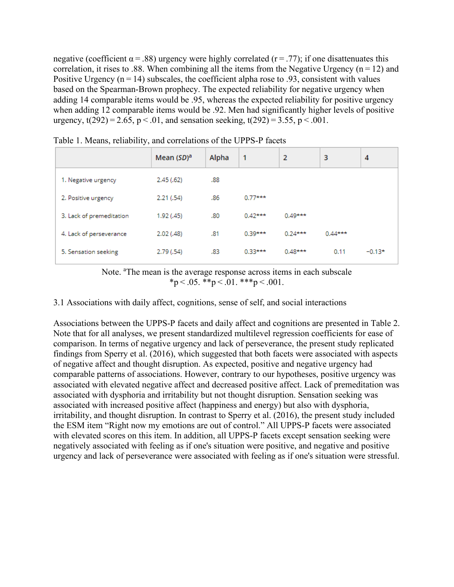negative (coefficient  $\alpha = .88$ ) urgency were highly correlated (r = .77); if one disattenuates this correlation, it rises to .88. When combining all the items from the Negative Urgency ( $n = 12$ ) and Positive Urgency ( $n = 14$ ) subscales, the coefficient alpha rose to .93, consistent with values based on the Spearman‐Brown prophecy. The expected reliability for negative urgency when adding 14 comparable items would be .95, whereas the expected reliability for positive urgency when adding 12 comparable items would be .92. Men had significantly higher levels of positive urgency,  $t(292) = 2.65$ ,  $p \le 0.01$ , and sensation seeking,  $t(292) = 3.55$ ,  $p \le 0.001$ .

|                          | Mean $(SD)^a$ | Alpha | 1         | 2         | 3         | 4        |
|--------------------------|---------------|-------|-----------|-----------|-----------|----------|
| 1. Negative urgency      | 2.45(0.62)    | .88   |           |           |           |          |
| 2. Positive urgency      | 2.21(54)      | .86   | $0.77***$ |           |           |          |
| 3. Lack of premeditation | 1.92 (.45)    | .80   | $0.42***$ | $0.49***$ |           |          |
| 4. Lack of perseverance  | 2.02(0.48)    | .81   | $0.39***$ | $0.24***$ | $0.44***$ |          |
| 5. Sensation seeking     | 2.79 (.54)    | .83   | $0.33***$ | $0.48***$ | 0.11      | $-0.13*$ |

Table 1. Means, reliability, and correlations of the UPPS-P facets

Note. <sup>a</sup>The mean is the average response across items in each subscale  $*_{\text{p}} < .05.$   $*_{\text{p}} < .01.$   $*_{\text{p}} < .001.$ 

3.1 Associations with daily affect, cognitions, sense of self, and social interactions

Associations between the UPPS‐P facets and daily affect and cognitions are presented in Table 2. Note that for all analyses, we present standardized multilevel regression coefficients for ease of comparison. In terms of negative urgency and lack of perseverance, the present study replicated findings from Sperry et al. (2016), which suggested that both facets were associated with aspects of negative affect and thought disruption. As expected, positive and negative urgency had comparable patterns of associations. However, contrary to our hypotheses, positive urgency was associated with elevated negative affect and decreased positive affect. Lack of premeditation was associated with dysphoria and irritability but not thought disruption. Sensation seeking was associated with increased positive affect (happiness and energy) but also with dysphoria, irritability, and thought disruption. In contrast to Sperry et al. (2016), the present study included the ESM item "Right now my emotions are out of control." All UPPS‐P facets were associated with elevated scores on this item. In addition, all UPPS‐P facets except sensation seeking were negatively associated with feeling as if one's situation were positive, and negative and positive urgency and lack of perseverance were associated with feeling as if one's situation were stressful.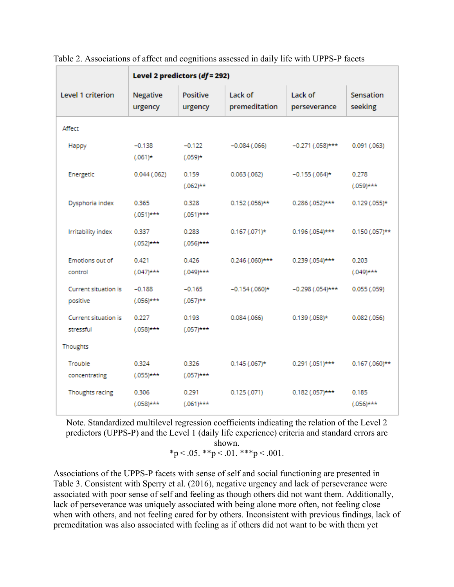|                                   | Level 2 predictors $(df = 292)$ |                            |                          |                         |                       |
|-----------------------------------|---------------------------------|----------------------------|--------------------------|-------------------------|-----------------------|
| <b>Level 1 criterion</b>          | Negative<br>urgency             | <b>Positive</b><br>urgency | Lack of<br>premeditation | Lack of<br>perseverance | Sensation<br>seeking  |
| Affect                            |                                 |                            |                          |                         |                       |
| Happy                             | $-0.138$<br>$(.061)*$           | $-0.122$<br>$(.059)*$      | $-0.084(.066)$           | $-0.271$ (.058)***      | 0.091(063)            |
| Energetic                         | $0.044$ (.062)                  | 0.159<br>$(.062)$ **       | 0.063(0.062)             | $-0.155$ (.064)*        | 0.278<br>$(.059)$ *** |
| Dysphoria index                   | 0.365<br>$(.051)$ ***           | 0.328<br>$(.051)$ ***      | $0.152$ (.056)**         | $0.286$ (.052)***       | $0.129$ (.055)*       |
| Irritability index                | 0.337<br>$(.052)$ ***           | 0.283<br>$(.056)$ ***      | $0.167(071)*$            | $0.196$ (.054)***       | $0.150(0.057)$ **     |
| Emotions out of<br>control        | 0.421<br>$(.047)$ ***           | 0.426<br>$(.049)$ ***      | $0.246$ (.060)***        | $0.239$ (.054)***       | 0.203<br>$(.049)$ *** |
| Current situation is<br>positive  | $-0.188$<br>$(.056)$ ***        | $-0.165$<br>$(.057)$ **    | $-0.154$ (.060)*         | $-0.298$ (.054)***      | $0.055$ (.059)        |
| Current situation is<br>stressful | 0.227<br>$(.058)$ ***           | 0.193<br>$(.057)$ ***      | 0.084(0.066)             | $0.139(0.058)*$         | $0.082$ (.056)        |
| Thoughts                          |                                 |                            |                          |                         |                       |
| Trouble<br>concentrating          | 0.324<br>$(.055)$ ***           | 0.326<br>$(.057)$ ***      | $0.145$ (.067)*          | $0.291$ (.051)***       | $0.167$ (.060)**      |
| Thoughts racing                   | 0.306<br>$(.058)$ ***           | 0.291<br>$(.061)$ ***      | 0.125(.071)              | $0.182$ (.057)***       | 0.185<br>$(.056)$ *** |

Table 2. Associations of affect and cognitions assessed in daily life with UPPS‐P facets

Note. Standardized multilevel regression coefficients indicating the relation of the Level 2 predictors (UPPS‐P) and the Level 1 (daily life experience) criteria and standard errors are shown.

$$
*_p < .05. **p < .01. ***p < .001.
$$

Associations of the UPPS‐P facets with sense of self and social functioning are presented in Table 3. Consistent with Sperry et al. (2016), negative urgency and lack of perseverance were associated with poor sense of self and feeling as though others did not want them. Additionally, lack of perseverance was uniquely associated with being alone more often, not feeling close when with others, and not feeling cared for by others. Inconsistent with previous findings, lack of premeditation was also associated with feeling as if others did not want to be with them yet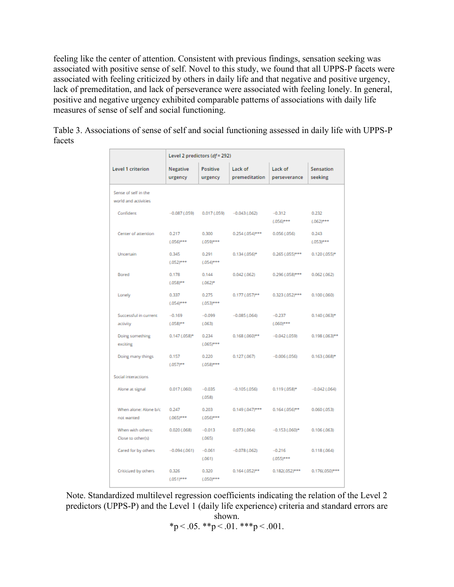feeling like the center of attention. Consistent with previous findings, sensation seeking was associated with positive sense of self. Novel to this study, we found that all UPPS‐P facets were associated with feeling criticized by others in daily life and that negative and positive urgency, lack of premeditation, and lack of perseverance were associated with feeling lonely. In general, positive and negative urgency exhibited comparable patterns of associations with daily life measures of sense of self and social functioning.

Table 3. Associations of sense of self and social functioning assessed in daily life with UPPS‐P facets

|                                              | Level 2 predictors (df = 292) |                       |                          |                          |                      |
|----------------------------------------------|-------------------------------|-----------------------|--------------------------|--------------------------|----------------------|
| <b>Level 1 criterion</b>                     | <b>Negative</b><br>urgency    | Positive<br>urgency   | Lack of<br>premeditation | Lack of<br>perseverance  | Sensation<br>seeking |
| Sense of self in the<br>world and activities |                               |                       |                          |                          |                      |
| Confident                                    | $-0.087(0.059)$               | 0.017(0.59)           | $-0.043(0.062)$          | $-0.312$<br>$(.056)***$  | 0.232<br>$(.062)***$ |
| Center of attention                          | 0.217<br>$(.056)***$          | 0.300<br>$(.059)***$  | $0.254$ (.054)***        | 0.056(0.056)             | 0.243<br>$(.053)***$ |
| Uncertain                                    | 0.345<br>$(.052)***$          | 0.291<br>$(.054)***$  | $0.134(0.056)*$          | $0.265$ (.055)***        | 0.120 (.055)*        |
| Bored                                        | 0.178<br>$(.058)**$           | 0.144<br>$(.062)^*$   | 0.042(.062)              | $0.296$ $(.058)$ ***     | 0.062(0.062)         |
| Lonely                                       | 0.337<br>$(.054)***$          | 0.275<br>$(.053)****$ | $0.177(0.057)**$         | $0.323(0.052)***$        | 0.100(0.060)         |
| Successful in current<br>activity            | $-0.169$<br>$(.058)**$        | $-0.099$<br>(.063)    | $-0.085(.064)$           | $-0.237$<br>$(.060)***$  | $0.140(0.063)$ *     |
| Doing something<br>exciting                  | $0.147$ (.058)*               | 0.234<br>$(.065)***$  | $0.168$ $(.060)**$       | $-0.042$ (.059)          | $0.198(.063)**$      |
| Doing many things                            | 0.157<br>$(.057)***$          | 0.220<br>$(.058)***$  | 0.127(0.067)             | $-0.006(0.056)$          | $0.163(0.068)$ *     |
| Social interactions                          |                               |                       |                          |                          |                      |
| Alone at signal                              | 0.017(0.060)                  | $-0.035$<br>(.058)    | $-0.105(0.056)$          | $0.119(0.058)*$          | $-0.042(0.064)$      |
| When alone: Alone b/c<br>not wanted          | 0.247<br>$(.065)***$          | 0.203<br>$(.056)***$  | $0.149(0.047)$ ***       | $0.164(0.056)**$         | 0.060(0.053)         |
| When with others:<br>Close to other(s)       | 0.020(0.068)                  | $-0.013$<br>(.065)    | 0.073(0.064)             | $-0.153(0.060)$ *        | 0.106(0.063)         |
| Cared for by others                          | $-0.094(0.061)$               | $-0.061$<br>(.061)    | $-0.078(0.062)$          | $-0.216$<br>$(.055)****$ | 0.118(0.064)         |
| Criticized by others                         | 0.326<br>$(.051)***$          | 0.320<br>$(.050)***$  | $0.164(0.052)**$         | $0.182(.052)***$         | $0.176(.050)***$     |

Note. Standardized multilevel regression coefficients indicating the relation of the Level 2 predictors (UPPS‐P) and the Level 1 (daily life experience) criteria and standard errors are shown.

$$
*p < .05. \cdot **p < .01. \cdot **p < .001.
$$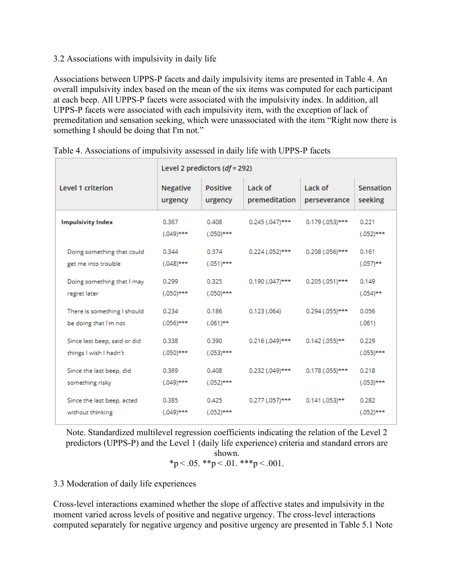#### 3.2 Associations with impulsivity in daily life

Associations between UPPS‐P facets and daily impulsivity items are presented in Table 4. An overall impulsivity index based on the mean of the six items was computed for each participant at each beep. All UPPS‐P facets were associated with the impulsivity index. In addition, all UPPS‐P facets were associated with each impulsivity item, with the exception of lack of premeditation and sensation seeking, which were unassociated with the item "Right now there is something I should be doing that I'm not."

|                                                        | Level 2 predictors $(df = 292)$ |                            |                          |                         |                       |
|--------------------------------------------------------|---------------------------------|----------------------------|--------------------------|-------------------------|-----------------------|
| Level 1 criterion                                      | <b>Negative</b><br>urgency      | <b>Positive</b><br>urgency | Lack of<br>premeditation | Lack of<br>perseverance | Sensation<br>seeking  |
| <b>Impulsivity Index</b>                               | 0.367<br>$(.049)$ ***           | 0.408<br>$(.050)$ ***      | $0.245(0.047)$ ***       | $0.179(0.053)$ ***      | 0.221<br>$(.052)$ *** |
| Doing something that could<br>get me into trouble      | 0.344<br>$(.048)$ ***           | 0.374<br>$(.051)$ ***      | $0.224$ (.052)***        | $0.208$ (.056)***       | 0.161<br>$(.057)$ **  |
| Doing something that I may<br>regret later             | 0.299<br>$(.050)$ ***           | 0.325<br>$(.050)$ ***      | $0.190$ (.047)***        | $0.205$ (.051)***       | 0.149<br>$(.054)$ **  |
| There is something I should<br>be doing that I'm not   | 0.234<br>$(.056)$ ***           | 0.186<br>$(.061)$ **       | 0.123(0.064)             | $0.294(0.055)$ ***      | 0.056<br>(.061)       |
| Since last beep, said or did<br>things I wish I hadn't | 0.338<br>$(.050)$ ***           | 0.390<br>$(.053)$ ***      | $0.216$ (.049)***        | $0.142$ (.055)**        | 0.229<br>$(.055)$ *** |
| Since the last beep, did<br>something risky            | 0.369<br>$(.049)$ ***           | 0.408<br>$(.052)$ ***      | $0.232(0.049)$ ***       | $0.178(0.055)$ ***      | 0.218<br>$(.053)$ *** |
| Since the last beep, acted<br>without thinking         | 0.385<br>$(.049)$ ***           | 0.425<br>$(.052)$ ***      | $0.277$ (.057)***        | $0.141$ (.053)**        | 0.282<br>$(.052)$ *** |

|  |  | Table 4. Associations of impulsivity assessed in daily life with UPPS-P facets |
|--|--|--------------------------------------------------------------------------------|
|  |  |                                                                                |

Note. Standardized multilevel regression coefficients indicating the relation of the Level 2 predictors (UPPS‐P) and the Level 1 (daily life experience) criteria and standard errors are shown.

$$
*_{p} < .05. \; **_{p} < .01. \; ***_{p} < .001.
$$

## 3.3 Moderation of daily life experiences

Cross‐level interactions examined whether the slope of affective states and impulsivity in the moment varied across levels of positive and negative urgency. The cross-level interactions computed separately for negative urgency and positive urgency are presented in Table 5.1 Note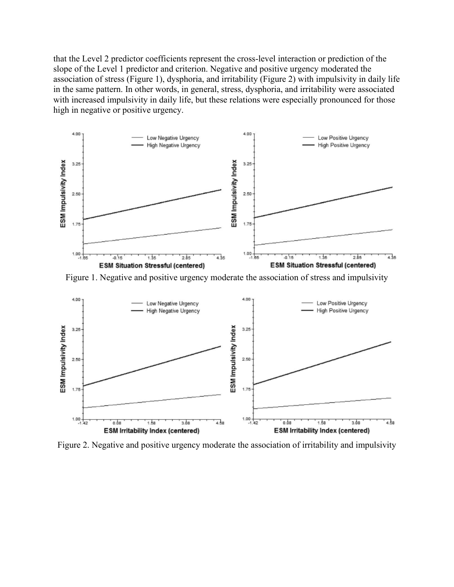that the Level 2 predictor coefficients represent the cross‐level interaction or prediction of the slope of the Level 1 predictor and criterion. Negative and positive urgency moderated the association of stress (Figure 1), dysphoria, and irritability (Figure 2) with impulsivity in daily life in the same pattern. In other words, in general, stress, dysphoria, and irritability were associated with increased impulsivity in daily life, but these relations were especially pronounced for those high in negative or positive urgency.



Figure 1. Negative and positive urgency moderate the association of stress and impulsivity



Figure 2. Negative and positive urgency moderate the association of irritability and impulsivity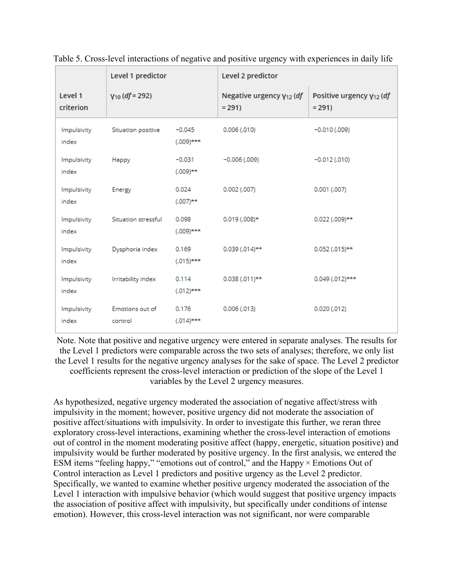|                      | Level 1 predictor          |                          | Level 2 predictor                        |                                                 |  |  |
|----------------------|----------------------------|--------------------------|------------------------------------------|-------------------------------------------------|--|--|
| Level 1<br>criterion | $Y_{10}$ (df = 292)        |                          | Negative urgency $y_{12}$ (df<br>$= 291$ | Positive urgency Y <sub>12</sub> (df<br>$= 291$ |  |  |
| Impulsivity<br>index | Situation positive         | $-0.045$<br>$(.009)$ *** | 0.006(0.010)                             | $-0.010(0.009)$                                 |  |  |
| Impulsivity<br>index | Happy                      | $-0.031$<br>$(.009)$ **  | $-0.006(0.009)$                          | $-0.012(0.010)$                                 |  |  |
| Impulsivity<br>index | Energy                     | 0.024<br>$(.007)$ **     | $0.002$ (.007)                           | $0.001$ $(.007)$                                |  |  |
| Impulsivity<br>index | Situation stressful        | 0.098<br>$(.009)$ ***    | $0.019(0.008)*$                          | $0.022$ (.009)**                                |  |  |
| Impulsivity<br>index | Dysphoria index            | 0.169<br>$(.015)$ ***    | $0.039(0.014)$ **                        | $0.052$ (.015)**                                |  |  |
| Impulsivity<br>index | Irritability index         | 0.114<br>$(.012)$ ***    | $0.038(0.011)$ **                        | $0.049(0.012)$ ***                              |  |  |
| Impulsivity<br>index | Emotions out of<br>control | 0.176<br>$(.014)$ ***    | 0.006(0.013)                             | 0.020(0.012)                                    |  |  |

Table 5. Cross‐level interactions of negative and positive urgency with experiences in daily life

Note. Note that positive and negative urgency were entered in separate analyses. The results for the Level 1 predictors were comparable across the two sets of analyses; therefore, we only list the Level 1 results for the negative urgency analyses for the sake of space. The Level 2 predictor coefficients represent the cross‐level interaction or prediction of the slope of the Level 1 variables by the Level 2 urgency measures.

As hypothesized, negative urgency moderated the association of negative affect/stress with impulsivity in the moment; however, positive urgency did not moderate the association of positive affect/situations with impulsivity. In order to investigate this further, we reran three exploratory cross‐level interactions, examining whether the cross‐level interaction of emotions out of control in the moment moderating positive affect (happy, energetic, situation positive) and impulsivity would be further moderated by positive urgency. In the first analysis, we entered the ESM items "feeling happy," "emotions out of control," and the Happy  $\times$  Emotions Out of Control interaction as Level 1 predictors and positive urgency as the Level 2 predictor. Specifically, we wanted to examine whether positive urgency moderated the association of the Level 1 interaction with impulsive behavior (which would suggest that positive urgency impacts the association of positive affect with impulsivity, but specifically under conditions of intense emotion). However, this cross‐level interaction was not significant, nor were comparable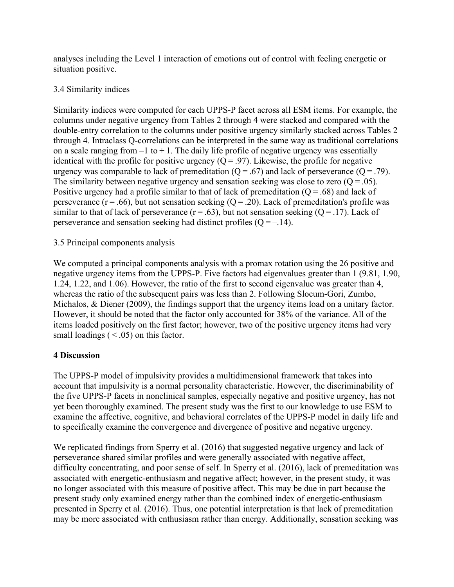analyses including the Level 1 interaction of emotions out of control with feeling energetic or situation positive.

## 3.4 Similarity indices

Similarity indices were computed for each UPPS‐P facet across all ESM items. For example, the columns under negative urgency from Tables 2 through 4 were stacked and compared with the double-entry correlation to the columns under positive urgency similarly stacked across Tables 2 through 4. Intraclass Q‐correlations can be interpreted in the same way as traditional correlations on a scale ranging from  $-1$  to  $+1$ . The daily life profile of negative urgency was essentially identical with the profile for positive urgency  $(Q = .97)$ . Likewise, the profile for negative urgency was comparable to lack of premeditation  $(Q = .67)$  and lack of perseverance  $(Q = .79)$ . The similarity between negative urgency and sensation seeking was close to zero  $(Q = .05)$ . Positive urgency had a profile similar to that of lack of premeditation  $(Q = .68)$  and lack of perseverance ( $r = .66$ ), but not sensation seeking ( $Q = .20$ ). Lack of premeditation's profile was similar to that of lack of perseverance ( $r = .63$ ), but not sensation seeking ( $Q = .17$ ). Lack of perseverance and sensation seeking had distinct profiles  $(Q = -14)$ .

# 3.5 Principal components analysis

We computed a principal components analysis with a promax rotation using the 26 positive and negative urgency items from the UPPS‐P. Five factors had eigenvalues greater than 1 (9.81, 1.90, 1.24, 1.22, and 1.06). However, the ratio of the first to second eigenvalue was greater than 4, whereas the ratio of the subsequent pairs was less than 2. Following Slocum-Gori, Zumbo, Michalos, & Diener (2009), the findings support that the urgency items load on a unitary factor. However, it should be noted that the factor only accounted for 38% of the variance. All of the items loaded positively on the first factor; however, two of the positive urgency items had very small loadings  $( $.05$ )$  on this factor.

## **4 Discussion**

The UPPS‐P model of impulsivity provides a multidimensional framework that takes into account that impulsivity is a normal personality characteristic. However, the discriminability of the five UPPS‐P facets in nonclinical samples, especially negative and positive urgency, has not yet been thoroughly examined. The present study was the first to our knowledge to use ESM to examine the affective, cognitive, and behavioral correlates of the UPPS‐P model in daily life and to specifically examine the convergence and divergence of positive and negative urgency.

We replicated findings from Sperry et al. (2016) that suggested negative urgency and lack of perseverance shared similar profiles and were generally associated with negative affect, difficulty concentrating, and poor sense of self. In Sperry et al. (2016), lack of premeditation was associated with energetic‐enthusiasm and negative affect; however, in the present study, it was no longer associated with this measure of positive affect. This may be due in part because the present study only examined energy rather than the combined index of energetic-enthusiasm presented in Sperry et al. (2016). Thus, one potential interpretation is that lack of premeditation may be more associated with enthusiasm rather than energy. Additionally, sensation seeking was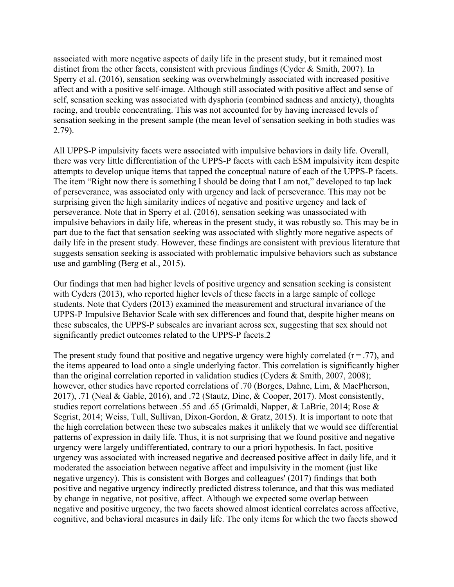associated with more negative aspects of daily life in the present study, but it remained most distinct from the other facets, consistent with previous findings (Cyder & Smith, 2007). In Sperry et al. (2016), sensation seeking was overwhelmingly associated with increased positive affect and with a positive self‐image. Although still associated with positive affect and sense of self, sensation seeking was associated with dysphoria (combined sadness and anxiety), thoughts racing, and trouble concentrating. This was not accounted for by having increased levels of sensation seeking in the present sample (the mean level of sensation seeking in both studies was 2.79).

All UPPS‐P impulsivity facets were associated with impulsive behaviors in daily life. Overall, there was very little differentiation of the UPPS‐P facets with each ESM impulsivity item despite attempts to develop unique items that tapped the conceptual nature of each of the UPPS‐P facets. The item "Right now there is something I should be doing that I am not," developed to tap lack of perseverance, was associated only with urgency and lack of perseverance. This may not be surprising given the high similarity indices of negative and positive urgency and lack of perseverance. Note that in Sperry et al. (2016), sensation seeking was unassociated with impulsive behaviors in daily life, whereas in the present study, it was robustly so. This may be in part due to the fact that sensation seeking was associated with slightly more negative aspects of daily life in the present study. However, these findings are consistent with previous literature that suggests sensation seeking is associated with problematic impulsive behaviors such as substance use and gambling (Berg et al., 2015).

Our findings that men had higher levels of positive urgency and sensation seeking is consistent with Cyders (2013), who reported higher levels of these facets in a large sample of college students. Note that Cyders (2013) examined the measurement and structural invariance of the UPPS‐P Impulsive Behavior Scale with sex differences and found that, despite higher means on these subscales, the UPPS‐P subscales are invariant across sex, suggesting that sex should not significantly predict outcomes related to the UPPS-P facets.2

The present study found that positive and negative urgency were highly correlated  $(r = .77)$ , and the items appeared to load onto a single underlying factor. This correlation is significantly higher than the original correlation reported in validation studies (Cyders & Smith, 2007, 2008); however, other studies have reported correlations of .70 (Borges, Dahne, Lim, & MacPherson, 2017), .71 (Neal & Gable, 2016), and .72 (Stautz, Dinc, & Cooper, 2017). Most consistently, studies report correlations between .55 and .65 (Grimaldi, Napper, & LaBrie, 2014; Rose & Segrist, 2014; Weiss, Tull, Sullivan, Dixon‐Gordon, & Gratz, 2015). It is important to note that the high correlation between these two subscales makes it unlikely that we would see differential patterns of expression in daily life. Thus, it is not surprising that we found positive and negative urgency were largely undifferentiated, contrary to our a priori hypothesis. In fact, positive urgency was associated with increased negative and decreased positive affect in daily life, and it moderated the association between negative affect and impulsivity in the moment (just like negative urgency). This is consistent with Borges and colleagues' (2017) findings that both positive and negative urgency indirectly predicted distress tolerance, and that this was mediated by change in negative, not positive, affect. Although we expected some overlap between negative and positive urgency, the two facets showed almost identical correlates across affective, cognitive, and behavioral measures in daily life. The only items for which the two facets showed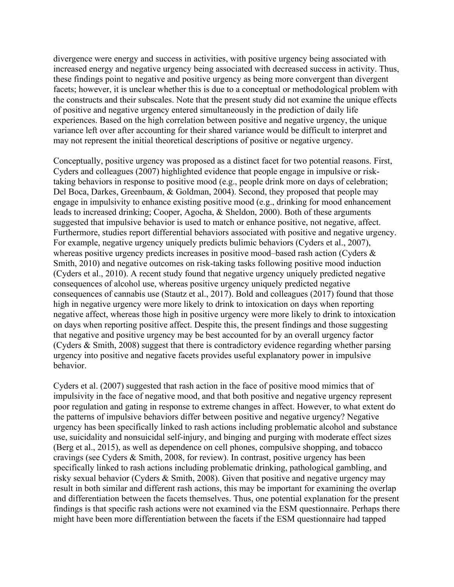divergence were energy and success in activities, with positive urgency being associated with increased energy and negative urgency being associated with decreased success in activity. Thus, these findings point to negative and positive urgency as being more convergent than divergent facets; however, it is unclear whether this is due to a conceptual or methodological problem with the constructs and their subscales. Note that the present study did not examine the unique effects of positive and negative urgency entered simultaneously in the prediction of daily life experiences. Based on the high correlation between positive and negative urgency, the unique variance left over after accounting for their shared variance would be difficult to interpret and may not represent the initial theoretical descriptions of positive or negative urgency.

Conceptually, positive urgency was proposed as a distinct facet for two potential reasons. First, Cyders and colleagues (2007) highlighted evidence that people engage in impulsive or risk‐ taking behaviors in response to positive mood (e.g., people drink more on days of celebration; Del Boca, Darkes, Greenbaum, & Goldman, 2004). Second, they proposed that people may engage in impulsivity to enhance existing positive mood (e.g., drinking for mood enhancement leads to increased drinking; Cooper, Agocha, & Sheldon, 2000). Both of these arguments suggested that impulsive behavior is used to match or enhance positive, not negative, affect. Furthermore, studies report differential behaviors associated with positive and negative urgency. For example, negative urgency uniquely predicts bulimic behaviors (Cyders et al., 2007), whereas positive urgency predicts increases in positive mood–based rash action (Cyders & Smith, 2010) and negative outcomes on risk-taking tasks following positive mood induction (Cyders et al., 2010). A recent study found that negative urgency uniquely predicted negative consequences of alcohol use, whereas positive urgency uniquely predicted negative consequences of cannabis use (Stautz et al., 2017). Bold and colleagues (2017) found that those high in negative urgency were more likely to drink to intoxication on days when reporting negative affect, whereas those high in positive urgency were more likely to drink to intoxication on days when reporting positive affect. Despite this, the present findings and those suggesting that negative and positive urgency may be best accounted for by an overall urgency factor (Cyders & Smith, 2008) suggest that there is contradictory evidence regarding whether parsing urgency into positive and negative facets provides useful explanatory power in impulsive behavior.

Cyders et al. (2007) suggested that rash action in the face of positive mood mimics that of impulsivity in the face of negative mood, and that both positive and negative urgency represent poor regulation and gating in response to extreme changes in affect. However, to what extent do the patterns of impulsive behaviors differ between positive and negative urgency? Negative urgency has been specifically linked to rash actions including problematic alcohol and substance use, suicidality and nonsuicidal self‐injury, and binging and purging with moderate effect sizes (Berg et al., 2015), as well as dependence on cell phones, compulsive shopping, and tobacco cravings (see Cyders & Smith, 2008, for review). In contrast, positive urgency has been specifically linked to rash actions including problematic drinking, pathological gambling, and risky sexual behavior (Cyders & Smith, 2008). Given that positive and negative urgency may result in both similar and different rash actions, this may be important for examining the overlap and differentiation between the facets themselves. Thus, one potential explanation for the present findings is that specific rash actions were not examined via the ESM questionnaire. Perhaps there might have been more differentiation between the facets if the ESM questionnaire had tapped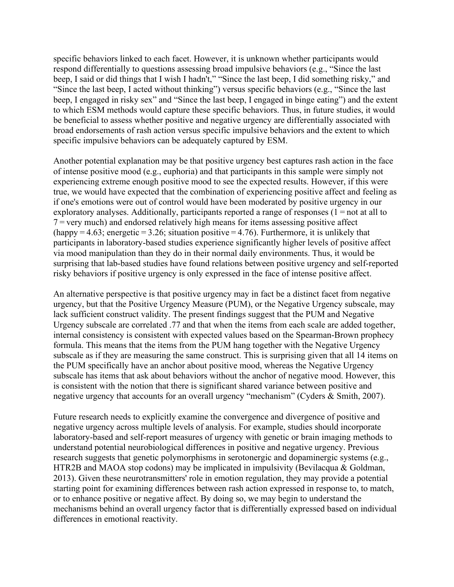specific behaviors linked to each facet. However, it is unknown whether participants would respond differentially to questions assessing broad impulsive behaviors (e.g., "Since the last beep, I said or did things that I wish I hadn't," "Since the last beep, I did something risky," and "Since the last beep, I acted without thinking") versus specific behaviors (e.g., "Since the last beep, I engaged in risky sex" and "Since the last beep, I engaged in binge eating") and the extent to which ESM methods would capture these specific behaviors. Thus, in future studies, it would be beneficial to assess whether positive and negative urgency are differentially associated with broad endorsements of rash action versus specific impulsive behaviors and the extent to which specific impulsive behaviors can be adequately captured by ESM.

Another potential explanation may be that positive urgency best captures rash action in the face of intense positive mood (e.g., euphoria) and that participants in this sample were simply not experiencing extreme enough positive mood to see the expected results. However, if this were true, we would have expected that the combination of experiencing positive affect and feeling as if one's emotions were out of control would have been moderated by positive urgency in our exploratory analyses. Additionally, participants reported a range of responses (1 = not at all to 7 = very much) and endorsed relatively high means for items assessing positive affect (happy $=4.63$ ; energetic $=3.26$ ; situation positive $=4.76$ ). Furthermore, it is unlikely that participants in laboratory‐based studies experience significantly higher levels of positive affect via mood manipulation than they do in their normal daily environments. Thus, it would be surprising that lab-based studies have found relations between positive urgency and self-reported risky behaviors if positive urgency is only expressed in the face of intense positive affect.

An alternative perspective is that positive urgency may in fact be a distinct facet from negative urgency, but that the Positive Urgency Measure (PUM), or the Negative Urgency subscale, may lack sufficient construct validity. The present findings suggest that the PUM and Negative Urgency subscale are correlated .77 and that when the items from each scale are added together, internal consistency is consistent with expected values based on the Spearman‐Brown prophecy formula. This means that the items from the PUM hang together with the Negative Urgency subscale as if they are measuring the same construct. This is surprising given that all 14 items on the PUM specifically have an anchor about positive mood, whereas the Negative Urgency subscale has items that ask about behaviors without the anchor of negative mood. However, this is consistent with the notion that there is significant shared variance between positive and negative urgency that accounts for an overall urgency "mechanism" (Cyders & Smith, 2007).

Future research needs to explicitly examine the convergence and divergence of positive and negative urgency across multiple levels of analysis. For example, studies should incorporate laboratory-based and self-report measures of urgency with genetic or brain imaging methods to understand potential neurobiological differences in positive and negative urgency. Previous research suggests that genetic polymorphisms in serotonergic and dopaminergic systems (e.g., HTR2B and MAOA stop codons) may be implicated in impulsivity (Bevilacqua & Goldman, 2013). Given these neurotransmitters' role in emotion regulation, they may provide a potential starting point for examining differences between rash action expressed in response to, to match, or to enhance positive or negative affect. By doing so, we may begin to understand the mechanisms behind an overall urgency factor that is differentially expressed based on individual differences in emotional reactivity.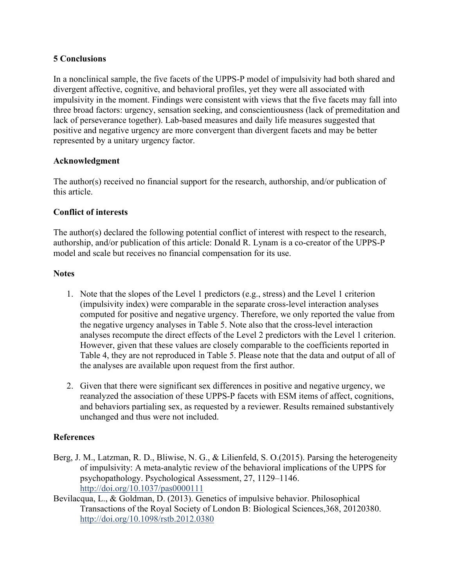#### **5 Conclusions**

In a nonclinical sample, the five facets of the UPPS‐P model of impulsivity had both shared and divergent affective, cognitive, and behavioral profiles, yet they were all associated with impulsivity in the moment. Findings were consistent with views that the five facets may fall into three broad factors: urgency, sensation seeking, and conscientiousness (lack of premeditation and lack of perseverance together). Lab-based measures and daily life measures suggested that positive and negative urgency are more convergent than divergent facets and may be better represented by a unitary urgency factor.

## **Acknowledgment**

The author(s) received no financial support for the research, authorship, and/or publication of this article.

# **Conflict of interests**

The author(s) declared the following potential conflict of interest with respect to the research, authorship, and/or publication of this article: Donald R. Lynam is a co-creator of the UPPS-P model and scale but receives no financial compensation for its use.

## **Notes**

- 1. Note that the slopes of the Level 1 predictors (e.g., stress) and the Level 1 criterion (impulsivity index) were comparable in the separate cross‐level interaction analyses computed for positive and negative urgency. Therefore, we only reported the value from the negative urgency analyses in Table 5. Note also that the cross‐level interaction analyses recompute the direct effects of the Level 2 predictors with the Level 1 criterion. However, given that these values are closely comparable to the coefficients reported in Table 4, they are not reproduced in Table 5. Please note that the data and output of all of the analyses are available upon request from the first author.
- 2. Given that there were significant sex differences in positive and negative urgency, we reanalyzed the association of these UPPS‐P facets with ESM items of affect, cognitions, and behaviors partialing sex, as requested by a reviewer. Results remained substantively unchanged and thus were not included.

## **References**

- Berg, J. M., Latzman, R. D., Bliwise, N. G., & Lilienfeld, S. O.(2015). Parsing the heterogeneity of impulsivity: A meta-analytic review of the behavioral implications of the UPPS for psychopathology. Psychological Assessment, 27, 1129–1146. <http://doi.org/10.1037/pas0000111>
- Bevilacqua, L., & Goldman, D. (2013). Genetics of impulsive behavior. Philosophical Transactions of the Royal Society of London B: Biological Sciences,368, 20120380. <http://doi.org/10.1098/rstb.2012.0380>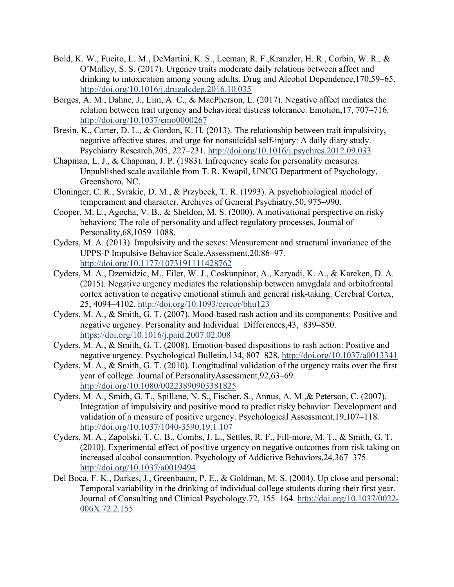- Bold, K. W., Fucito, L. M., DeMartini, K. S., Leeman, R. F.,Kranzler, H. R., Corbin, W. R., & O'Malley, S. S. (2017). Urgency traits moderate daily relations between affect and drinking to intoxication among young adults. Drug and Alcohol Dependence,170,59–65. <http://doi.org/10.1016/j.drugalcdep.2016.10.035>
- Borges, A. M., Dahne, J., Lim, A. C., & MacPherson, L. (2017). Negative affect mediates the relation between trait urgency and behavioral distress tolerance. Emotion,17, 707–716. <http://doi.org/10.1037/emo0000267>
- Bresin, K., Carter, D. L., & Gordon, K. H. (2013). The relationship between trait impulsivity, negative affective states, and urge for nonsuicidal self-injury: A daily diary study. Psychiatry Research,205, 227–231.<http://doi.org/10.1016/j.psychres.2012.09.033>
- Chapman, L. J., & Chapman, J. P. (1983). Infrequency scale for personality measures. Unpublished scale available from T. R. Kwapil, UNCG Department of Psychology, Greensboro, NC.
- Cloninger, C. R., Svrakic, D. M., & Przybeck, T. R. (1993). A psychobiological model of temperament and character. Archives of General Psychiatry,50, 975–990.
- Cooper, M. L., Agocha, V. B., & Sheldon, M. S. (2000). A motivational perspective on risky behaviors: The role of personality and affect regulatory processes. Journal of Personality,68,1059–1088.
- Cyders, M. A. (2013). Impulsivity and the sexes: Measurement and structural invariance of the UPPS-P Impulsive Behavior Scale.Assessment,20,86–97. <http://doi.org/10.1177/1073191111428762>
- Cyders, M. A., Dzemidzic, M., Eiler, W. J., Coskunpinar, A., Karyadi, K. A., & Kareken, D. A. (2015). Negative urgency mediates the relationship between amygdala and orbitofrontal cortex activation to negative emotional stimuli and general risk-taking. Cerebral Cortex, 25, 4094–4102. <http://doi.org/10.1093/cercor/bhu123>
- Cyders, M. A., & Smith, G. T. (2007). Mood-based rash action and its components: Positive and negative urgency. Personality and Individual Differences,43, 839–850. <https://doi.org/10.1016/j.paid.2007.02.008>
- Cyders, M. A., & Smith, G. T. (2008). Emotion-based dispositions to rash action: Positive and negative urgency. Psychological Bulletin,134, 807–828. <http://doi.org/10.1037/a0013341>
- Cyders, M. A., & Smith, G. T. (2010). Longitudinal validation of the urgency traits over the first year of college. Journal of PersonalityAssessment,92,63–69. <http://doi.org/10.1080/00223890903381825>
- Cyders, M. A., Smith, G. T., Spillane, N. S., Fischer, S., Annus, A. M.,& Peterson, C. (2007). Integration of impulsivity and positive mood to predict risky behavior: Development and validation of a measure of positive urgency. Psychological Assessment,19,107–118. [http://doi.org/10.1037/1040](http://doi.org/10.1037/1040-3590.19.1.107)-3590.19.1.107
- Cyders, M. A., Zapolski, T. C. B., Combs, J. L., Settles, R. F., Fill-more, M. T., & Smith, G. T. (2010). Experimental effect of positive urgency on negative outcomes from risk taking on increased alcohol consumption. Psychology of Addictive Behaviors,24,367–375. <http://doi.org/10.1037/a0019494>
- Del Boca, F. K., Darkes, J., Greenbaum, P. E., & Goldman, M. S. (2004). Up close and personal: Temporal variability in the drinking of individual college students during their first year. Journal of Consulting and Clinical Psychology,72, 155–164. [http://doi.org/10.1037/0022](http://doi.org/10.1037/0022-006X.72.2.155)- [006X.72.2.155](http://doi.org/10.1037/0022-006X.72.2.155)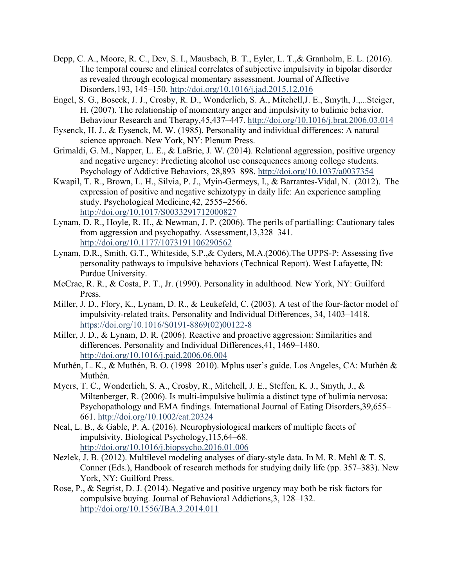- Depp, C. A., Moore, R. C., Dev, S. I., Mausbach, B. T., Eyler, L. T.,& Granholm, E. L. (2016). The temporal course and clinical correlates of subjective impulsivity in bipolar disorder as revealed through ecological momentary assessment. Journal of Affective Disorders,193, 145–150. <http://doi.org/10.1016/j.jad.2015.12.016>
- Engel, S. G., Boseck, J. J., Crosby, R. D., Wonderlich, S. A., Mitchell,J. E., Smyth, J.,...Steiger, H. (2007). The relationship of momentary anger and impulsivity to bulimic behavior. Behaviour Research and Therapy,45,437–447. <http://doi.org/10.1016/j.brat.2006.03.014>
- Eysenck, H. J., & Eysenck, M. W. (1985). Personality and individual differences: A natural science approach. New York, NY: Plenum Press.
- Grimaldi, G. M., Napper, L. E., & LaBrie, J. W. (2014). Relational aggression, positive urgency and negative urgency: Predicting alcohol use consequences among college students. Psychology of Addictive Behaviors, 28,893–898.<http://doi.org/10.1037/a0037354>
- Kwapil, T. R., Brown, L. H., Silvia, P. J., Myin-Germeys, I., & Barrantes-Vidal, N. (2012). The expression of positive and negative schizotypy in daily life: An experience sampling study. Psychological Medicine,42, 2555–2566. <http://doi.org/10.1017/S0033291712000827>
- Lynam, D. R., Hoyle, R. H., & Newman, J. P. (2006). The perils of partialling: Cautionary tales from aggression and psychopathy. Assessment,13,328–341. <http://doi.org/10.1177/1073191106290562>
- Lynam, D.R., Smith, G.T., Whiteside, S.P.,& Cyders, M.A.(2006).The UPPS-P: Assessing five personality pathways to impulsive behaviors (Technical Report). West Lafayette, IN: Purdue University.
- McCrae, R. R., & Costa, P. T., Jr. (1990). Personality in adulthood. New York, NY: Guilford Press.
- Miller, J. D., Flory, K., Lynam, D. R., & Leukefeld, C. (2003). A test of the four-factor model of impulsivity-related traits. Personality and Individual Differences, 34, 1403–1418. [https://doi.org/10.1016/S0191](https://doi.org/10.1016/S0191-8869(02)00122-8)-8869(02)00122-8
- Miller, J. D., & Lynam, D. R. (2006). Reactive and proactive aggression: Similarities and differences. Personality and Individual Differences,41, 1469–1480. <http://doi.org/10.1016/j.paid.2006.06.004>
- Muthén, L. K., & Muthén, B. O. (1998–2010). Mplus user's guide. Los Angeles, CA: Muthén & Muthén.
- Myers, T. C., Wonderlich, S. A., Crosby, R., Mitchell, J. E., Steffen, K. J., Smyth, J., & Miltenberger, R. (2006). Is multi-impulsive bulimia a distinct type of bulimia nervosa: Psychopathology and EMA findings. International Journal of Eating Disorders,39,655– 661.<http://doi.org/10.1002/eat.20324>
- Neal, L. B., & Gable, P. A. (2016). Neurophysiological markers of multiple facets of impulsivity. Biological Psychology,115,64–68. <http://doi.org/10.1016/j.biopsycho.2016.01.006>
- Nezlek, J. B. (2012). Multilevel modeling analyses of diary-style data. In M. R. Mehl & T. S. Conner (Eds.), Handbook of research methods for studying daily life (pp. 357–383). New York, NY: Guilford Press.
- Rose, P., & Segrist, D. J. (2014). Negative and positive urgency may both be risk factors for compulsive buying. Journal of Behavioral Addictions,3, 128–132. <http://doi.org/10.1556/JBA.3.2014.011>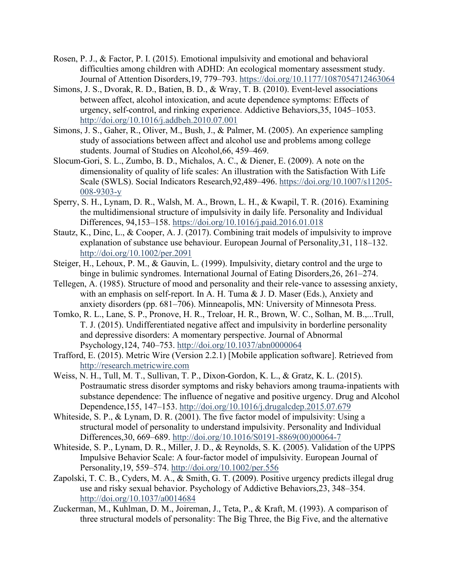- Rosen, P. J., & Factor, P. I. (2015). Emotional impulsivity and emotional and behavioral difficulties among children with ADHD: An ecological momentary assessment study. Journal of Attention Disorders,19, 779–793.<https://doi.org/10.1177/1087054712463064>
- Simons, J. S., Dvorak, R. D., Batien, B. D., & Wray, T. B. (2010). Event-level associations between affect, alcohol intoxication, and acute dependence symptoms: Effects of urgency, self-control, and rinking experience. Addictive Behaviors,35, 1045–1053. [http://doi.org/10.1016/j.addbeh.2010.07.00](http://doi.org/10.1016/j.addbeh.2010.07.001)1
- Simons, J. S., Gaher, R., Oliver, M., Bush, J., & Palmer, M. (2005). An experience sampling study of associations between affect and alcohol use and problems among college students. Journal of Studies on Alcohol,66, 459–469.
- Slocum-Gori, S. L., Zumbo, B. D., Michalos, A. C., & Diener, E. (2009). A note on the dimensionality of quality of life scales: An illustration with the Satisfaction With Life Scale (SWLS). Social Indicators Research,92,489–496. [https://doi.org/10.1007/s11205](https://doi.org/10.1007/s11205-008-9303-y)- 008-[9303](https://doi.org/10.1007/s11205-008-9303-y)-y
- Sperry, S. H., Lynam, D. R., Walsh, M. A., Brown, L. H., & Kwapil, T. R. (2016). Examining the multidimensional structure of impulsivity in daily life. Personality and Individual Differences, 94,153–158. <https://doi.org/10.1016/j.paid.2016.01.018>
- Stautz, K., Dinc, L., & Cooper, A. J. (2017). Combining trait models of impulsivity to improve explanation of substance use behaviour. European Journal of Personality,31, 118–132. <http://doi.org/10.1002/per.2091>
- Steiger, H., Lehoux, P. M., & Gauvin, L. (1999). Impulsivity, dietary control and the urge to binge in bulimic syndromes. International Journal of Eating Disorders,26, 261–274.
- Tellegen, A. (1985). Structure of mood and personality and their rele-vance to assessing anxiety, with an emphasis on self-report. In A. H. Tuma & J. D. Maser (Eds.), Anxiety and anxiety disorders (pp. 681–706). Minneapolis, MN: University of Minnesota Press.
- Tomko, R. L., Lane, S. P., Pronove, H. R., Treloar, H. R., Brown, W. C., Solhan, M. B.,...Trull, T. J. (2015). Undifferentiated negative affect and impulsivity in borderline personality and depressive disorders: A momentary perspective. Journal of Abnormal Psychology, 124, 740-753.<http://doi.org/10.1037/abn0000064>
- Trafford, E. (2015). Metric Wire (Version 2.2.1) [Mobile application software]. Retrieved from [http://research.metricwire.com](http://research.metricwire.com/)
- Weiss, N. H., Tull, M. T., Sullivan, T. P., Dixon-Gordon, K. L., & Gratz, K. L. (2015). Postraumatic stress disorder symptoms and risky behaviors among trauma-inpatients with substance dependence: The influence of negative and positive urgency. Drug and Alcohol Dependence,155, 147–153. h[ttp://doi.org/10.1016/j.drugalcdep.2015.07.679](http://doi.org/10.1016/j.drugalcdep.2015.07.679)
- Whiteside, S. P., & Lynam, D. R. (2001). The five factor model of impulsivity: Using a structural model of personality to understand impulsivity. Personality and Individual Differences,30, 669–689. [http://doi.org/10.1016/S0191](http://doi.org/10.1016/S0191-8869(00)00064-7)-8869(00)00064-7
- Whiteside, S. P., Lynam, D. R., Miller, J. D., & Reynolds, S. K. (2005). Validation of the UPPS Impulsive Behavior Scale: A four-factor model of impulsivity. European Journal of Personality,19, 559–574. <http://doi.org/10.1002/per.556>
- Zapolski, T. C. B., Cyders, M. A., & Smith, G. T. (2009). Positive urgency predicts illegal drug use and risky sexual behavior. Psychology of Addictive Behaviors,23, 348–354. <http://doi.org/10.1037/a0014684>
- Zuckerman, M., Kuhlman, D. M., Joireman, J., Teta, P., & Kraft, M. (1993). A comparison of three structural models of personality: The Big Three, the Big Five, and the alternative